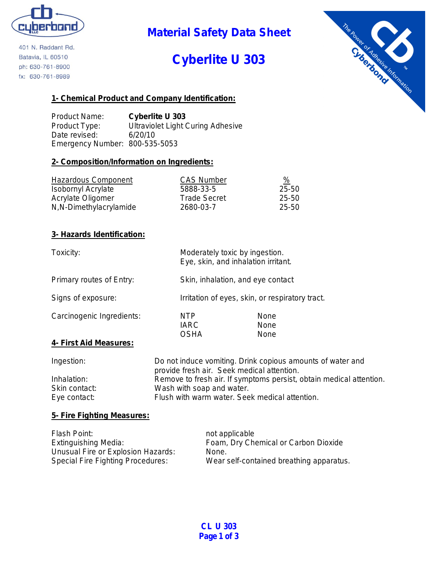

401 N. Raddant Rd. Batavia, IL 60510 ph: 630-761-8900 fx: 630-761-8989

### **Material Safety Data Sheet**

# **Cyberlite U 303**



#### **1- Chemical Product and Company Identification:**

Product Name: **Cyberlite U 303** Product Type: Ultraviolet Light Curing Adhesive Date revised: 6/20/10 Emergency Number: 800-535-5053

#### **2- Composition/Information on Ingredients:**

| <b>Hazardous Component</b> | <b>CAS Number</b>   | %     |
|----------------------------|---------------------|-------|
| <b>Isobornyl Acrylate</b>  | 5888-33-5           | 25-50 |
| Acrylate Oligomer          | <b>Trade Secret</b> | 25-50 |
| N,N-Dimethylacrylamide     | 2680-03-7           | 25-50 |

#### **3- Hazards Identification:**

| Skin, inhalation, and eye contact               |  |
|-------------------------------------------------|--|
| Irritation of eyes, skin, or respiratory tract. |  |
| None<br>None<br>None                            |  |
|                                                 |  |

| Ingestion:    | Do not induce vomiting. Drink copious amounts of water and          |
|---------------|---------------------------------------------------------------------|
|               | provide fresh air. Seek medical attention.                          |
| Inhalation:   | Remove to fresh air. If symptoms persist, obtain medical attention. |
| Skin contact: | Wash with soap and water.                                           |
| Eye contact:  | Flush with warm water. Seek medical attention.                      |

#### **5- Fire Fighting Measures:**

| Flash Point:                       | not applicable                           |
|------------------------------------|------------------------------------------|
| Extinguishing Media:               | Foam, Dry Chemical or Carbon Dioxide     |
| Unusual Fire or Explosion Hazards: | None.                                    |
| Special Fire Fighting Procedures:  | Wear self-contained breathing apparatus. |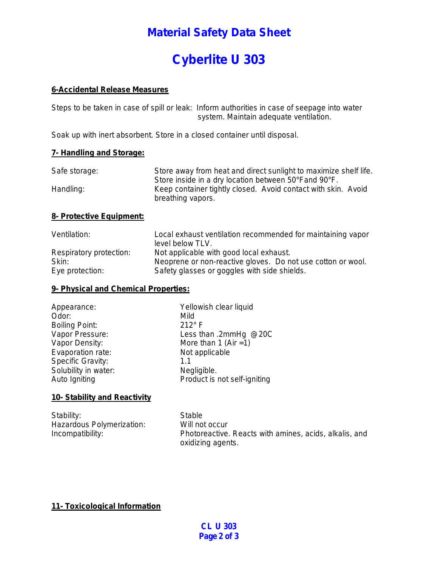### **Material Safety Data Sheet**

# **Cyberlite U 303**

#### **6-Accidental Release Measures**

Steps to be taken in case of spill or leak: Inform authorities in case of seepage into water system. Maintain adequate ventilation.

Soak up with inert absorbent. Store in a closed container until disposal.

#### **7- Handling and Storage:**

| Safe storage: | Store away from heat and direct sunlight to maximize shelf life. |
|---------------|------------------------------------------------------------------|
|               | Store inside in a dry location between 50°Fand 90°F.             |
| Handling:     | Keep container tightly closed. Avoid contact with skin. Avoid    |
|               | breathing vapors.                                                |

#### **8- Protective Equipment:**

| Ventilation:            | Local exhaust ventilation recommended for maintaining vapor<br>level below TLV. |
|-------------------------|---------------------------------------------------------------------------------|
| Respiratory protection: | Not applicable with good local exhaust.                                         |
| Skin:                   | Neoprene or non-reactive gloves. Do not use cotton or wool.                     |
| Eye protection:         | Safety glasses or goggles with side shields.                                    |

#### **9- Physical and Chemical Properties:**

| Appearance:           | Yellowish clear liquid       |
|-----------------------|------------------------------|
| Odor:                 | Mild                         |
| <b>Boiling Point:</b> | $212^\circ$ F                |
| Vapor Pressure:       | Less than .2mmHg @20C        |
| Vapor Density:        | More than 1 (Air $=1$ )      |
| Evaporation rate:     | Not applicable               |
| Specific Gravity:     | 1.1                          |
| Solubility in water:  | Negligible.                  |
| Auto Igniting         | Product is not self-igniting |
|                       |                              |

#### **10- Stability and Reactivity**

| Stability:                | Stable            |
|---------------------------|-------------------|
| Hazardous Polymerization: | Will not occur    |
| Incompatibility:          | Photoreactive. Re |

eacts with amines, acids, alkalis, and oxidizing agents.

#### **11- Toxicological Information**